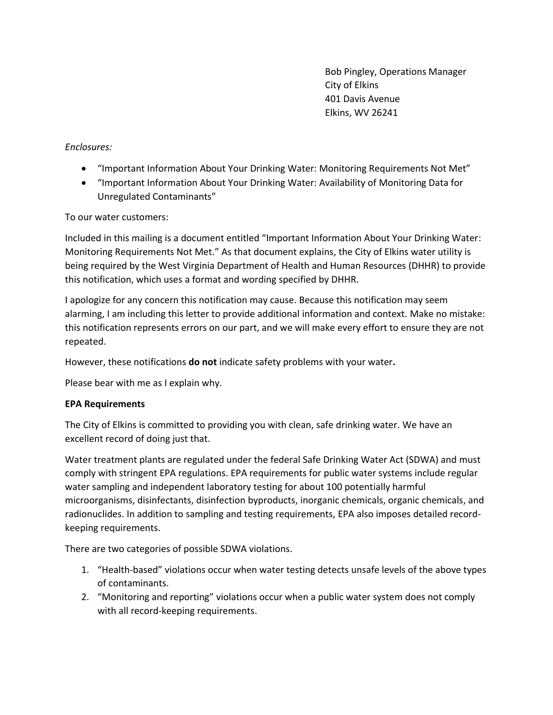Bob Pingley, Operations Manager City of Elkins 401 Davis Avenue Elkins, WV 26241

*Enclosures:*

- "Important Information About Your Drinking Water: Monitoring Requirements Not Met"
- "Important Information About Your Drinking Water: Availability of Monitoring Data for Unregulated Contaminants"

## To our water customers:

Included in this mailing is a document entitled "Important Information About Your Drinking Water: Monitoring Requirements Not Met." As that document explains, the City of Elkins water utility is being required by the West Virginia Department of Health and Human Resources (DHHR) to provide this notification, which uses a format and wording specified by DHHR.

I apologize for any concern this notification may cause. Because this notification may seem alarming, I am including this letter to provide additional information and context. Make no mistake: this notification represents errors on our part, and we will make every effort to ensure they are not repeated.

However, these notifications **do not** indicate safety problems with your water**.**

Please bear with me as I explain why.

## **EPA Requirements**

The City of Elkins is committed to providing you with clean, safe drinking water. We have an excellent record of doing just that.

Water treatment plants are regulated under the federal Safe Drinking Water Act (SDWA) and must comply with stringent EPA regulations. EPA requirements for public water systems include regular water sampling and independent laboratory testing for about 100 potentially harmful microorganisms, disinfectants, disinfection byproducts, inorganic chemicals, organic chemicals, and radionuclides. In addition to sampling and testing requirements, EPA also imposes detailed recordkeeping requirements.

There are two categories of possible SDWA violations.

- 1. "Health-based" violations occur when water testing detects unsafe levels of the above types of contaminants.
- 2. "Monitoring and reporting" violations occur when a public water system does not comply with all record-keeping requirements.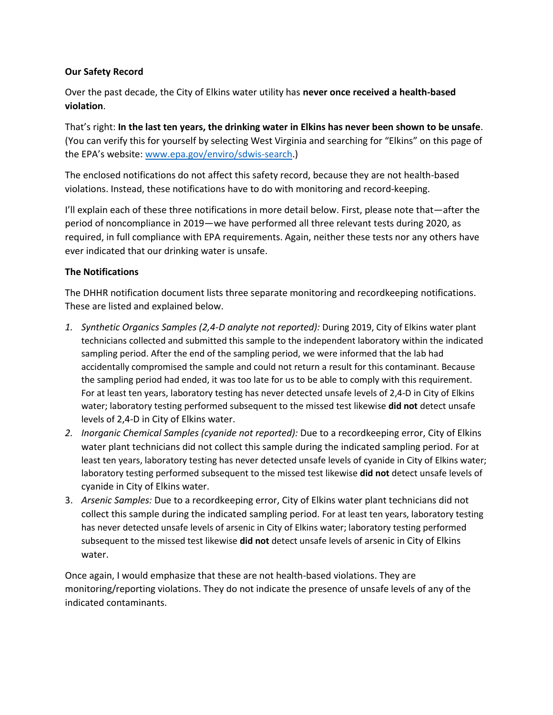## **Our Safety Record**

Over the past decade, the City of Elkins water utility has **never once received a health-based violation**.

That's right: **In the last ten years, the drinking water in Elkins has never been shown to be unsafe**. (You can verify this for yourself by selecting West Virginia and searching for "Elkins" on this page of the EPA's website: [www.epa.gov/enviro/sdwis-search.](http://www.epa.gov/enviro/sdwis-search))

The enclosed notifications do not affect this safety record, because they are not health-based violations. Instead, these notifications have to do with monitoring and record-keeping.

I'll explain each of these three notifications in more detail below. First, please note that—after the period of noncompliance in 2019—we have performed all three relevant tests during 2020, as required, in full compliance with EPA requirements. Again, neither these tests nor any others have ever indicated that our drinking water is unsafe.

## **The Notifications**

The DHHR notification document lists three separate monitoring and recordkeeping notifications. These are listed and explained below.

- *1. Synthetic Organics Samples (2,4-D analyte not reported):* During 2019, City of Elkins water plant technicians collected and submitted this sample to the independent laboratory within the indicated sampling period. After the end of the sampling period, we were informed that the lab had accidentally compromised the sample and could not return a result for this contaminant. Because the sampling period had ended, it was too late for us to be able to comply with this requirement. For at least ten years, laboratory testing has never detected unsafe levels of 2,4-D in City of Elkins water; laboratory testing performed subsequent to the missed test likewise **did not** detect unsafe levels of 2,4-D in City of Elkins water.
- *2. Inorganic Chemical Samples (cyanide not reported):* Due to a recordkeeping error, City of Elkins water plant technicians did not collect this sample during the indicated sampling period. For at least ten years, laboratory testing has never detected unsafe levels of cyanide in City of Elkins water; laboratory testing performed subsequent to the missed test likewise **did not** detect unsafe levels of cyanide in City of Elkins water.
- 3. *Arsenic Samples:* Due to a recordkeeping error, City of Elkins water plant technicians did not collect this sample during the indicated sampling period. For at least ten years, laboratory testing has never detected unsafe levels of arsenic in City of Elkins water; laboratory testing performed subsequent to the missed test likewise **did not** detect unsafe levels of arsenic in City of Elkins water.

Once again, I would emphasize that these are not health-based violations. They are monitoring/reporting violations. They do not indicate the presence of unsafe levels of any of the indicated contaminants.